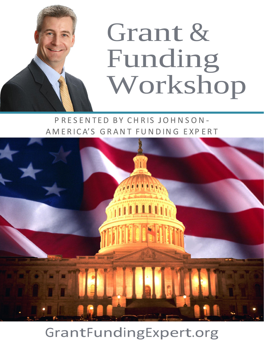

P R E S E N T E D B Y C H R I S J O H N S O N -AMERICA'S GRANT FUNDING EXPERT



# GrantFundingExpert.org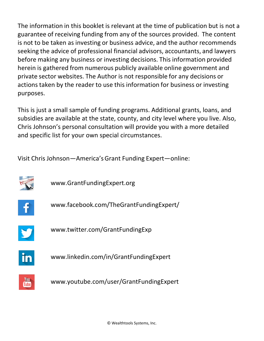The information in this booklet is relevant at the time of publication but is not a guarantee of receiving funding from any of the sources provided. The content is not to be taken as investing or business advice, and the author recommends seeking the advice of professional financial advisors, accountants, and lawyers before making any business or investing decisions. This information provided herein is gathered from numerous publicly available online government and private sector websites. The Author is not responsible for any decisions or actions taken by the reader to use this information for business or investing purposes.

This is just a small sample of funding programs. Additional grants, loans, and subsidies are available at the state, county, and city level where you live. Also, Chris Johnson's personal consultation will provide you with a more detailed and specific list for your own special circumstances.

Visit Chris Johnson—America'sGrant Funding Expert—online:



www.GrantFundingExpert.org



www.facebook.com/TheGrantFundingExpert/



www.twitter.com/GrantFundingExp



www.linkedin.com/in/GrantFundingExpert



www.youtube.com/user/GrantFundingExpert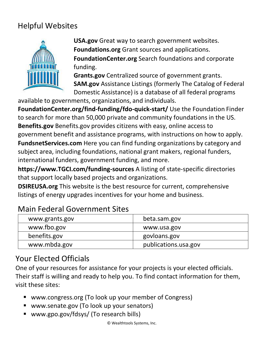# Helpful Websites



**USA.gov** Great way to search government websites. **Foundations.org** Grant sources and applications. **FoundationCenter.org** Search foundations and corporate funding.

**Grants.gov** Centralized source of government grants. **SAM.gov** Assistance Listings (formerly The Catalog of Federal Domestic Assistance) is a database of all federal programs

available to governments, organizations, and individuals.

**FoundationCenter.org/find-funding/fdo-quick-start/** Use the Foundation Finder to search for more than 50,000 private and community foundations in the US. **Benefits.gov** Benefits.gov provides citizens with easy, online access to government benefit and assistance programs, with instructions on how to apply. **FundsnetServices.com** Here you can find funding organizations by category and subject area, including foundations, national grant makers, regional funders, international funders, government funding, and more.

**https[://www.TGCI.com/funding-sources](http://www.tgci.com/funding-sources)** A listing of state-specific directories that support locally based projects and organizations.

**DSIREUSA.org** This website is the best resource for current, comprehensive listings of energy upgrades incentives for your home and business.

# Main Federal Government Sites

| www.grants.gov | beta.sam.gov         |
|----------------|----------------------|
| www.fbo.gov    | www.usa.gov          |
| benefits.gov   | govloans.gov         |
| www.mbda.gov   | publications.usa.gov |

# Your Elected Officials

One of your resources for assistance for your projects is your elected officials. Their staff is willing and ready to help you. To find contact information for them, visit these sites:

- www.congress.org (To look up your member of Congress)
- www.senate.gov (To look up your senators)
- www.gpo.gov/fdsys/ (To research bills)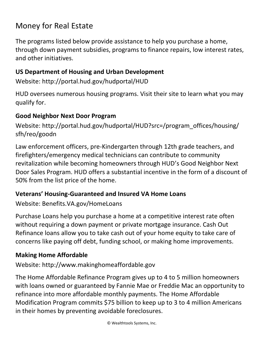# Money for Real Estate

The programs listed below provide assistance to help you purchase a home, through down payment subsidies, programs to finance repairs, low interest rates, and other initiatives.

#### **US Department of Housing and Urban Development**

Website: http://portal.hud.gov/hudportal/HUD

HUD oversees numerous housing programs. Visit their site to learn what you may qualify for.

#### **Good Neighbor Next Door Program**

Website: http://portal.hud.gov/hudportal/HUD?src=/program\_offices/housing/ sfh/reo/goodn

Law enforcement officers, pre-Kindergarten through 12th grade teachers, and firefighters/emergency medical technicians can contribute to community revitalization while becoming homeowners through HUD's Good Neighbor Next Door Sales Program. HUD offers a substantial incentive in the form of a discount of 50% from the list price of the home.

### **Veterans' Housing-Guaranteed and Insured VA Home Loans**

Website: Benefits.VA.gov/HomeLoans

Purchase Loans help you purchase a home at a competitive interest rate often without requiring a down payment or private mortgage insurance. Cash Out Refinance loans allow you to take cash out of your home equity to take care of concerns like paying off debt, funding school, or making home improvements.

### **Making Home Affordable**

Website: http://www.makinghomeaffordable.gov

The Home Affordable Refinance Program gives up to 4 to 5 million homeowners with loans owned or guaranteed by Fannie Mae or Freddie Mac an opportunity to refinance into more affordable monthly payments. The Home Affordable Modification Program commits \$75 billion to keep up to 3 to 4 million Americans in their homes by preventing avoidable foreclosures.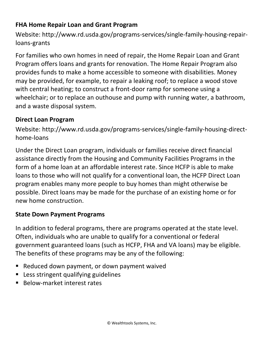#### **FHA Home Repair Loan and Grant Program**

Website: http://www.rd.usda.gov/programs-services/single-family-housing-repairloans-grants

For families who own homes in need of repair, the Home Repair Loan and Grant Program offers loans and grants for renovation. The Home Repair Program also provides funds to make a home accessible to someone with disabilities. Money may be provided, for example, to repair a leaking roof; to replace a wood stove with central heating; to construct a front-door ramp for someone using a wheelchair; or to replace an outhouse and pump with running water, a bathroom, and a waste disposal system.

#### **Direct Loan Program**

Website: http://www.rd.usda.gov/programs-services/single-family-housing-directhome-loans

Under the Direct Loan program, individuals or families receive direct financial assistance directly from the Housing and Community Facilities Programs in the form of a home loan at an affordable interest rate. Since HCFP is able to make loans to those who will not qualify for a conventional loan, the HCFP Direct Loan program enables many more people to buy homes than might otherwise be possible. Direct loans may be made for the purchase of an existing home or for new home construction.

#### **State Down Payment Programs**

In addition to federal programs, there are programs operated at the state level. Often, individuals who are unable to qualify for a conventional or federal government guaranteed loans (such as HCFP, FHA and VA loans) may be eligible. The benefits of these programs may be any of the following:

- Reduced down payment, or down payment waived
- Less stringent qualifying guidelines
- Below-market interest rates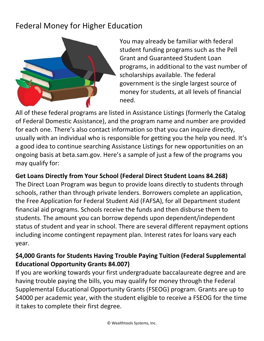# Federal Money for Higher Education



You may already be familiar with federal student funding programs such as the Pell Grant and Guaranteed Student Loan programs, in additional to the vast number of scholarships available. The federal government is the single largest source of money for students, at all levels of financial need.

All of these federal programs are listed in Assistance Listings (formerly the Catalog of Federal Domestic Assistance), and the program name and number are provided for each one. There's also contact information so that you can inquire directly, usually with an individual who is responsible for getting you the help you need. It's a good idea to continue searching Assistance Listings for new opportunities on an ongoing basis at beta.sam.gov. Here's a sample of just a few of the programs you may qualify for:

#### **Get Loans Directly from Your School (Federal Direct Student Loans 84.268)**

The Direct Loan Program was begun to provide loans directly to students through schools, rather than through private lenders. Borrowers complete an application, the Free Application for Federal Student Aid (FAFSA), for all Department student financial aid programs. Schools receive the funds and then disburse them to students. The amount you can borrow depends upon dependent/independent status of student and year in school. There are several different repayment options including income contingent repayment plan. Interest rates for loans vary each year.

### **\$4,000 Grants for Students Having Trouble Paying Tuition (Federal Supplemental Educational Opportunity Grants 84.007)**

If you are working towards your first undergraduate baccalaureate degree and are having trouble paying the bills, you may qualify for money through the Federal Supplemental Educational Opportunity Grants (FSEOG) program. Grants are up to \$4000 per academic year, with the student eligible to receive a FSEOG for the time it takes to complete their first degree.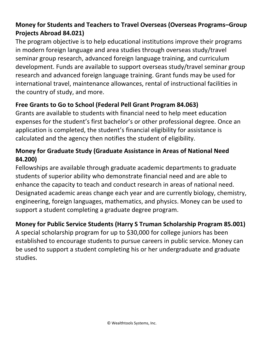### **Money for Students and Teachers to Travel Overseas (Overseas Programs–Group Projects Abroad 84.021)**

The program objective is to help educational institutions improve their programs in modern foreign language and area studies through overseas study/travel seminar group research, advanced foreign language training, and curriculum development. Funds are available to support overseas study/travel seminar group research and advanced foreign language training. Grant funds may be used for international travel, maintenance allowances, rental of instructional facilities in the country of study, and more.

# **Free Grants to Go to School (Federal Pell Grant Program 84.063)**

Grants are available to students with financial need to help meet education expenses for the student's first bachelor's or other professional degree. Once an application is completed, the student's financial eligibility for assistance is calculated and the agency then notifies the student of eligibility.

# **Money for Graduate Study (Graduate Assistance in Areas of National Need 84.200)**

Fellowships are available through graduate academic departments to graduate students of superior ability who demonstrate financial need and are able to enhance the capacity to teach and conduct research in areas of national need. Designated academic areas change each year and are currently biology, chemistry, engineering, foreign languages, mathematics, and physics. Money can be used to support a student completing a graduate degree program.

# **Money for Public Service Students (Harry S Truman Scholarship Program 85.001)**

A special scholarship program for up to \$30,000 for college juniors has been established to encourage students to pursue careers in public service. Money can be used to support a student completing his or her undergraduate and graduate studies.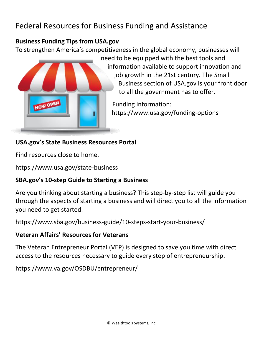# Federal Resources for Business Funding and Assistance

#### **Business Funding Tips from USA.gov**

To strengthen America's competitiveness in the global economy, businesses will



need to be equipped with the best tools and information available to support innovation and job growth in the 21st century. The Small Business section of USA.gov is your front door to all the government has to offer.

Funding information: https://www.usa.gov/funding-options

### **USA.gov's State Business Resources Portal**

Find resources close to home.

https://www.usa.gov/state-business

# **SBA.gov's 10-step Guide to Starting a Business**

Are you thinking about starting a business? This step-by-step list will guide you through the aspects of starting a business and will direct you to all the information you need to get started.

https://www.sba.gov/business-guide/10-steps-start-your-business/

### **Veteran Affairs' Resources for Veterans**

The Veteran Entrepreneur Portal (VEP) is designed to save you time with direct access to the resources necessary to guide every step of entrepreneurship.

https://www.va.gov/OSDBU/entrepreneur/